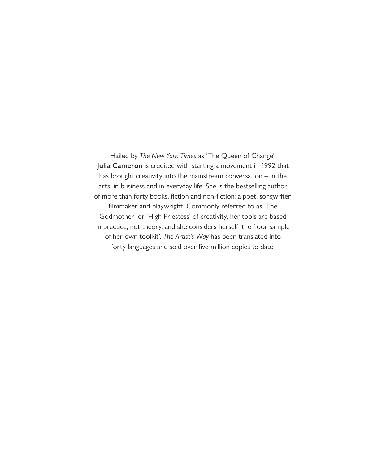Hailed by *The New York Times* as 'The Queen of Change', **Julia Cameron** is credited with starting a movement in 1992 that has brought creativity into the mainstream conversation – in the arts, in business and in everyday life. She is the bestselling author of more than forty books, fiction and non-fiction; a poet, songwriter, filmmaker and playwright. Commonly referred to as 'The Godmother' or 'High Priestess' of creativity, her tools are based in practice, not theory, and she considers herself 'the floor sample of her own toolkit'. *The Artist's Way* has been translated into forty languages and sold over five million copies to date.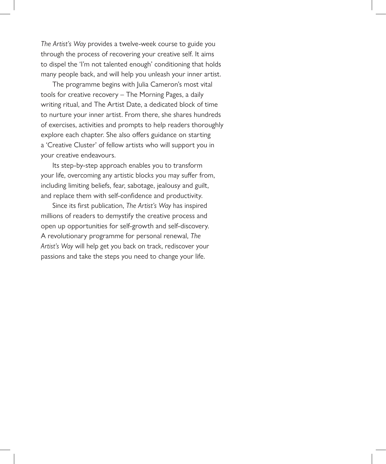*The Artist's Way* provides a twelve-week course to guide you through the process of recovering your creative self. It aims to dispel the 'I'm not talented enough' conditioning that holds many people back, and will help you unleash your inner artist.

The programme begins with Julia Cameron's most vital tools for creative recovery – The Morning Pages, a daily writing ritual, and The Artist Date, a dedicated block of time to nurture your inner artist. From there, she shares hundreds of exercises, activities and prompts to help readers thoroughly explore each chapter. She also offers guidance on starting a 'Creative Cluster' of fellow artists who will support you in your creative endeavours.

Its step-by-step approach enables you to transform your life, overcoming any artistic blocks you may suffer from, including limiting beliefs, fear, sabotage, jealousy and guilt, and replace them with self-confidence and productivity.

Since its first publication, *The Artist's Way* has inspired millions of readers to demystify the creative process and open up opportunities for self-growth and self-discovery. A revolutionary programme for personal renewal, *The Artist's Way* will help get you back on track, rediscover your passions and take the steps you need to change your life.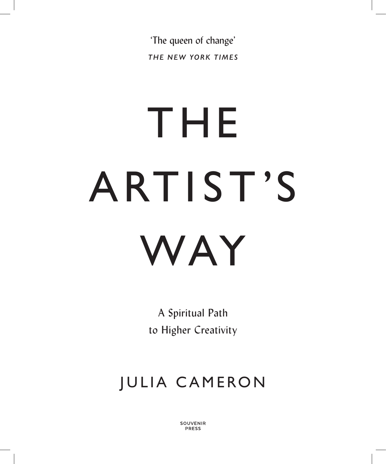'The queen of change' *THE NEW YORK TIMES*

# THE ARTIST'S WAY

A Spiritual Path to Higher Creativity

## JULIA CAMERON

SOUVENIR PRESS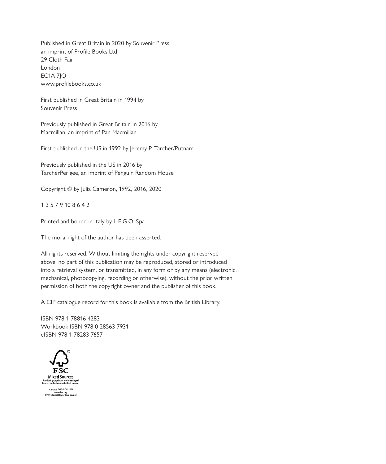Published in Great Britain in 2020 by Souvenir Press, an imprint of Profile Books Ltd 29 Cloth Fair London EC1A 7JQ www.profilebooks.co.uk

First published in Great Britain in 1994 by Souvenir Press

Previously published in Great Britain in 2016 by Macmillan, an imprint of Pan Macmillan

First published in the US in 1992 by Jeremy P. Tarcher/Putnam

Previously published in the US in 2016 by TarcherPerigee, an imprint of Penguin Random House

Copyright © by Julia Cameron, 1992, 2016, 2020

1 3 5 7 9 10 8 6 4 2

Printed and bound in Italy by L.E.G.O. Spa

The moral right of the author has been asserted.

All rights reserved. Without limiting the rights under copyright reserved above, no part of this publication may be reproduced, stored or introduced into a retrieval system, or transmitted, in any form or by any means (electronic, mechanical, photocopying, recording or otherwise), without the prior written permission of both the copyright owner and the publisher of this book.

A CIP catalogue record for this book is available from the British Library.

ISBN 978 1 78816 4283 Workbook ISBN 978 0 28563 7931 eISBN 978 1 78283 7657

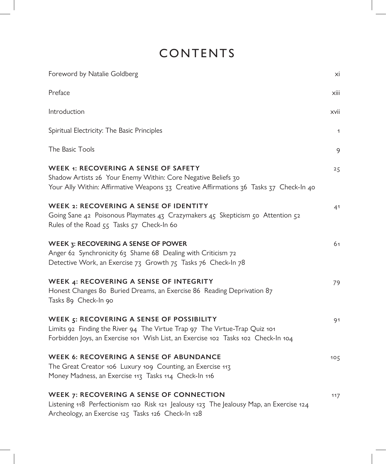## **CONTENTS**

| Foreword by Natalie Goldberg                                                                                                                                                                                 | хi              |
|--------------------------------------------------------------------------------------------------------------------------------------------------------------------------------------------------------------|-----------------|
| Preface                                                                                                                                                                                                      | xiii            |
| Introduction                                                                                                                                                                                                 | xvii            |
| Spiritual Electricity: The Basic Principles                                                                                                                                                                  | 1               |
| The Basic Tools                                                                                                                                                                                              | 9               |
| <b>WEEK 1: RECOVERING A SENSE OF SAFETY</b><br>Shadow Artists 26 Your Enemy Within: Core Negative Beliefs 30<br>Your Ally Within: Affirmative Weapons 33 Creative Affirmations 36 Tasks 37 Check-In 40       | 25              |
| <b>WEEK 2: RECOVERING A SENSE OF IDENTITY</b><br>Going Sane 42 Poisonous Playmates 43 Crazymakers 45 Skepticism 50 Attention 52<br>Rules of the Road 55 Tasks 57 Check-In 60                                 | 41              |
| WEEK 3: RECOVERING A SENSE OF POWER<br>Anger 62 Synchronicity 63 Shame 68 Dealing with Criticism 72<br>Detective Work, an Exercise 73 Growth 75 Tasks 76 Check-In 78                                         | 61              |
| WEEK 4: RECOVERING A SENSE OF INTEGRITY<br>Honest Changes 80 Buried Dreams, an Exercise 86 Reading Deprivation 87<br>Tasks 89 Check-In 90                                                                    | 79              |
| WEEK 5: RECOVERING A SENSE OF POSSIBILITY<br>Limits 92 Finding the River 94 The Virtue Trap 97 The Virtue-Trap Quiz 101<br>Forbidden Joys, an Exercise 101 Wish List, an Exercise 102 Tasks 102 Check-In 104 | 91              |
| <b>WEEK 6: RECOVERING A SENSE OF ABUNDANCE</b><br>The Great Creator 106 Luxury 109 Counting, an Exercise 113<br>Money Madness, an Exercise 113 Tasks 114 Check-In 116                                        | 10 <sub>5</sub> |
| WEEK 7: RECOVERING A SENSE OF CONNECTION<br>Listening 118 Perfectionism 120 Risk 121 Jealousy 123 The Jealousy Map, an Exercise 124<br>Archeology, an Exercise 125 Tasks 126 Check-In 128                    | 117             |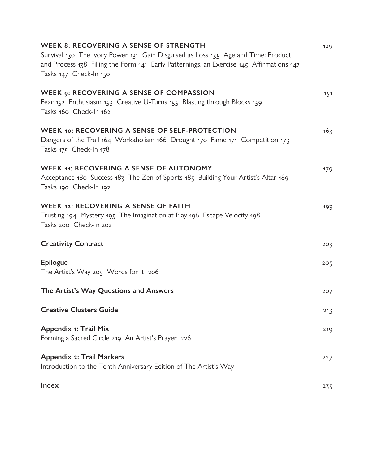| <b>WEEK 8: RECOVERING A SENSE OF STRENGTH</b><br>Survival 130 The Ivory Power 131 Gain Disguised as Loss 135 Age and Time: Product                            | 129             |
|---------------------------------------------------------------------------------------------------------------------------------------------------------------|-----------------|
| and Process 138 Filling the Form 141 Early Patternings, an Exercise 145 Affirmations 147<br>Tasks 147 Check-In 150                                            |                 |
| WEEK 9: RECOVERING A SENSE OF COMPASSION<br>Fear 152 Enthusiasm 153 Creative U-Turns 155 Blasting through Blocks 159<br>Tasks 160 Check-In 162                | 151             |
| WEEK 10: RECOVERING A SENSE OF SELF-PROTECTION<br>Dangers of the Trail 164 Workaholism 166 Drought 170 Fame 171 Competition 173<br>Tasks 175 Check-In 178     | 16 <sub>3</sub> |
| <b>WEEK 11: RECOVERING A SENSE OF AUTONOMY</b><br>Acceptance 180 Success 183 The Zen of Sports 185 Building Your Artist's Altar 189<br>Tasks 190 Check-In 192 | 179             |
| <b>WEEK 12: RECOVERING A SENSE OF FAITH</b><br>Trusting 194 Mystery 195 The Imagination at Play 196 Escape Velocity 198<br>Tasks 200 Check-In 202             | 193             |
| <b>Creativity Contract</b>                                                                                                                                    | 203             |
| <b>Epilogue</b><br>The Artist's Way 205 Words for It 206                                                                                                      | 205             |
| The Artist's Way Questions and Answers                                                                                                                        | 207             |
| <b>Creative Clusters Guide</b>                                                                                                                                | 213             |
| Appendix 1: Trail Mix<br>Forming a Sacred Circle 219 An Artist's Prayer 226                                                                                   | 219             |
| <b>Appendix 2: Trail Markers</b><br>Introduction to the Tenth Anniversary Edition of The Artist's Way                                                         | 227             |
| <b>Index</b>                                                                                                                                                  | 235             |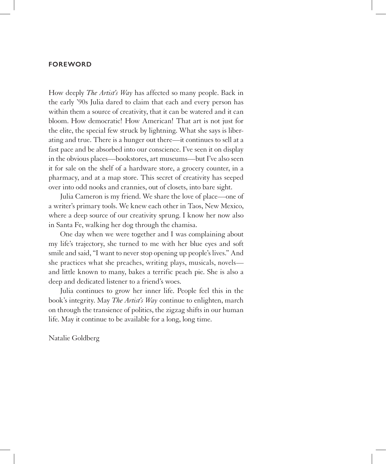#### **FOREWORD**

How deeply *The Artist's Way* has affected so many people. Back in the early '90s Julia dared to claim that each and every person has within them a source of creativity, that it can be watered and it can bloom. How democratic! How American! That art is not just for the elite, the special few struck by lightning. What she says is liberating and true. There is a hunger out there—it continues to sell at a fast pace and be absorbed into our conscience. I've seen it on display in the obvious places—bookstores, art museums—but I've also seen it for sale on the shelf of a hardware store, a grocery counter, in a pharmacy, and at a map store. This secret of creativity has seeped over into odd nooks and crannies, out of closets, into bare sight.

Julia Cameron is my friend. We share the love of place—one of a writer's primary tools. We knew each other in Taos, New Mexico, where a deep source of our creativity sprung. I know her now also in Santa Fe, walking her dog through the chamisa.

One day when we were together and I was complaining about my life's trajectory, she turned to me with her blue eyes and soft smile and said, "I want to never stop opening up people's lives." And she practices what she preaches, writing plays, musicals, novels and little known to many, bakes a terrific peach pie. She is also a deep and dedicated listener to a friend's woes.

Julia continues to grow her inner life. People feel this in the book's integrity. May *The Artist's Way* continue to enlighten, march on through the transience of politics, the zigzag shifts in our human life. May it continue to be available for a long, long time.

Natalie Goldberg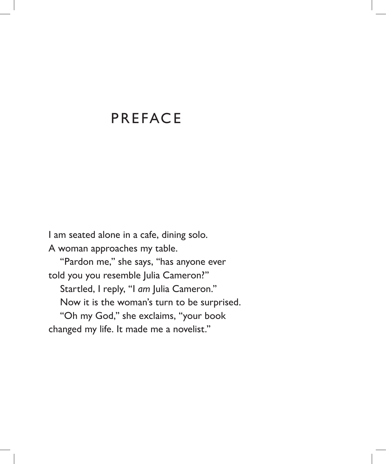### PREFACE

I am seated alone in a cafe, dining solo. A woman approaches my table. "Pardon me," she says, "has anyone ever told you you resemble Julia Cameron?" Startled, I reply, "I *am* Julia Cameron." Now it is the woman's turn to be surprised. "Oh my God," she exclaims, "your book changed my life. It made me a novelist."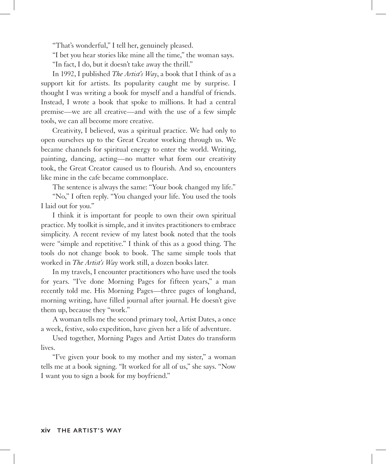"That's wonderful," I tell her, genuinely pleased.

"I bet you hear stories like mine all the time," the woman says.

"In fact, I do, but it doesn't take away the thrill."

In 1992, I published *The Artist's Way*, a book that I think of as a support kit for artists. Its popularity caught me by surprise. I thought I was writing a book for myself and a handful of friends. Instead, I wrote a book that spoke to millions. It had a central premise—we are all creative—and with the use of a few simple tools, we can all become more creative.

Creativity, I believed, was a spiritual practice. We had only to open ourselves up to the Great Creator working through us. We became channels for spiritual energy to enter the world. Writing, painting, dancing, acting—no matter what form our creativity took, the Great Creator caused us to flourish. And so, encounters like mine in the cafe became commonplace.

The sentence is always the same: "Your book changed my life."

"No," I often reply. "You changed your life. You used the tools I laid out for you."

I think it is important for people to own their own spiritual practice. My toolkit is simple, and it invites practitioners to embrace simplicity. A recent review of my latest book noted that the tools were "simple and repetitive." I think of this as a good thing. The tools do not change book to book. The same simple tools that worked in *The Artist's Way* work still, a dozen books later.

In my travels, I encounter practitioners who have used the tools for years. "I've done Morning Pages for fifteen years," a man recently told me. His Morning Pages—three pages of longhand, morning writing, have filled journal after journal. He doesn't give them up, because they "work."

A woman tells me the second primary tool, Artist Dates, a once a week, festive, solo expedition, have given her a life of adventure.

Used together, Morning Pages and Artist Dates do transform lives.

"I've given your book to my mother and my sister," a woman tells me at a book signing. "It worked for all of us," she says. "Now I want you to sign a book for my boyfriend."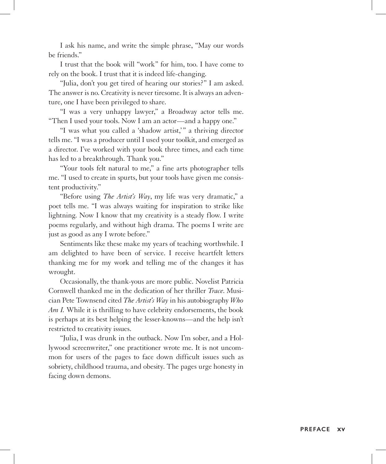I ask his name, and write the simple phrase, "May our words be friends."

I trust that the book will "work" for him, too. I have come to rely on the book. I trust that it is indeed life-changing.

"Julia, don't you get tired of hearing our stories?" I am asked. The answer is no. Creativity is never tiresome. It is always an adventure, one I have been privileged to share.

"I was a very unhappy lawyer," a Broadway actor tells me. "Then I used your tools. Now I am an actor—and a happy one."

"I was what you called a 'shadow artist,' " a thriving director tells me. "I was a producer until I used your toolkit, and emerged as a director. I've worked with your book three times, and each time has led to a breakthrough. Thank you."

"Your tools felt natural to me," a fine arts photographer tells me. "I used to create in spurts, but your tools have given me consistent productivity."

"Before using *The Artist's Way*, my life was very dramatic," a poet tells me. "I was always waiting for inspiration to strike like lightning. Now I know that my creativity is a steady flow. I write poems regularly, and without high drama. The poems I write are just as good as any I wrote before."

Sentiments like these make my years of teaching worthwhile. I am delighted to have been of service. I receive heartfelt letters thanking me for my work and telling me of the changes it has wrought.

Occasionally, the thank-yous are more public. Novelist Patricia Cornwell thanked me in the dedication of her thriller *Trace*. Musician Pete Townsend cited *The Artist's Way* in his autobiography *Who Am I.* While it is thrilling to have celebrity endorsements, the book is perhaps at its best helping the lesser-knowns—and the help isn't restricted to creativity issues.

"Julia, I was drunk in the outback. Now I'm sober, and a Hollywood screenwriter," one practitioner wrote me. It is not uncommon for users of the pages to face down difficult issues such as sobriety, childhood trauma, and obesity. The pages urge honesty in facing down demons.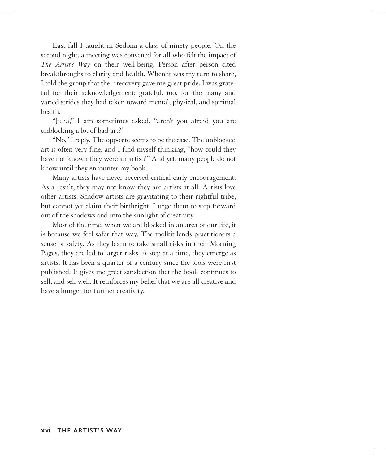Last fall I taught in Sedona a class of ninety people. On the second night, a meeting was convened for all who felt the impact of *The Artist's Way* on their well-being. Person after person cited breakthroughs to clarity and health. When it was my turn to share, I told the group that their recovery gave me great pride. I was grateful for their acknowledgement; grateful, too, for the many and varied strides they had taken toward mental, physical, and spiritual health.

"Julia," I am sometimes asked, "aren't you afraid you are unblocking a lot of bad art?"

"No," I reply. The opposite seems to be the case. The unblocked art is often very fine, and I find myself thinking, "how could they have not known they were an artist?" And yet, many people do not know until they encounter my book.

Many artists have never received critical early encouragement. As a result, they may not know they are artists at all. Artists love other artists. Shadow artists are gravitating to their rightful tribe, but cannot yet claim their birthright. I urge them to step forward out of the shadows and into the sunlight of creativity.

Most of the time, when we are blocked in an area of our life, it is because we feel safer that way. The toolkit lends practitioners a sense of safety. As they learn to take small risks in their Morning Pages, they are led to larger risks. A step at a time, they emerge as artists. It has been a quarter of a century since the tools were first published. It gives me great satisfaction that the book continues to sell, and sell well. It reinforces my belief that we are all creative and have a hunger for further creativity.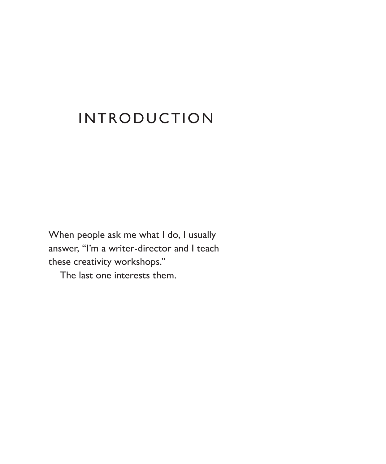## INTRODUCTION

When people ask me what I do, I usually answer, "I'm a writer-director and I teach these creativity workshops."

The last one interests them.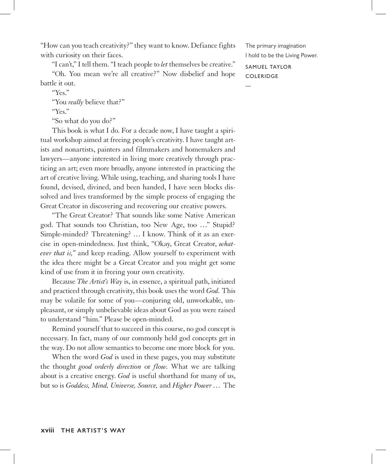"How can you teach creativity?" they want to know. Defiance fights with curiosity on their faces.

"I can't," I tell them. "I teach people to *let* themselves be creative." "Oh. You mean we're all creative?" Now disbelief and hope battle it out.

"Yes."

"You *really* believe that?"

"Yes."

"So what do you do?"

This book is what I do. For a decade now, I have taught a spiritual workshop aimed at freeing people's creativity. I have taught artists and nonartists, painters and filmmakers and homemakers and lawyers—anyone interested in living more creatively through practicing an art; even more broadly, anyone interested in practicing the art of creative living. While using, teaching, and sharing tools I have found, devised, divined, and been handed, I have seen blocks dissolved and lives transformed by the simple process of engaging the Great Creator in discovering and recovering our creative powers.

"The Great Creator? That sounds like some Native American god. That sounds too Christian, too New Age, too …" Stupid? Simple-minded? Threatening? … I know. Think of it as an exercise in open-mindedness. Just think, "Okay, Great Creator, *whatever that is,"* and keep reading. Allow yourself to experiment with the idea there might be a Great Creator and you might get some kind of use from it in freeing your own creativity.

Because *The Artist's Way* is, in essence, a spiritual path, initiated and practiced through creativity, this book uses the word *God.* This may be volatile for some of you—conjuring old, unworkable, unpleasant, or simply unbelievable ideas about God as you were raised to understand "him." Please be open-minded.

Remind yourself that to succeed in this course, no god concept is necessary. In fact, many of our commonly held god concepts get in the way. Do not allow semantics to become one more block for you.

When the word *God* is used in these pages, you may substitute the thought *good orderly direction* or *flow.* What we are talking about is a creative energy. *God* is useful shorthand for many of us, but so is *Goddess, Mind, Universe, Source,* and *Higher Power …* The

The primary imagination I hold to be the Living Power.

SAMUEL TAYLOR COLERIDGE

—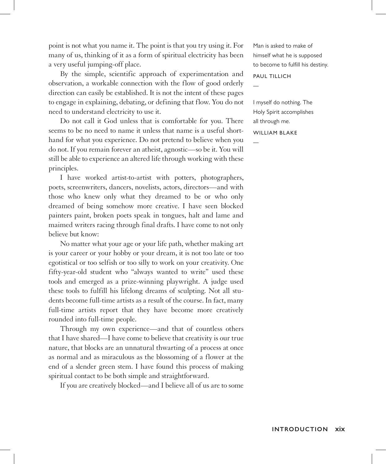point is not what you name it. The point is that you try using it. For many of us, thinking of it as a form of spiritual electricity has been a very useful jumping-off place.

By the simple, scientific approach of experimentation and observation, a workable connection with the flow of good orderly direction can easily be established. It is not the intent of these pages to engage in explaining, debating, or defining that flow. You do not need to understand electricity to use it.

Do not call it God unless that is comfortable for you. There seems to be no need to name it unless that name is a useful shorthand for what you experience. Do not pretend to believe when you do not. If you remain forever an atheist, agnostic—so be it. You will still be able to experience an altered life through working with these principles.

I have worked artist-to-artist with potters, photographers, poets, screenwriters, dancers, novelists, actors, directors—and with those who knew only what they dreamed to be or who only dreamed of being somehow more creative. I have seen blocked painters paint, broken poets speak in tongues, halt and lame and maimed writers racing through final drafts. I have come to not only believe but know:

No matter what your age or your life path, whether making art is your career or your hobby or your dream, it is not too late or too egotistical or too selfish or too silly to work on your creativity. One fifty-year-old student who "always wanted to write" used these tools and emerged as a prize-winning playwright. A judge used these tools to fulfill his lifelong dreams of sculpting. Not all students become full-time artists as a result of the course. In fact, many full-time artists report that they have become more creatively rounded into full-time people.

Through my own experience—and that of countless others that I have shared—I have come to believe that creativity is our true nature, that blocks are an unnatural thwarting of a process at once as normal and as miraculous as the blossoming of a flower at the end of a slender green stem. I have found this process of making spiritual contact to be both simple and straightforward.

If you are creatively blocked—and I believe all of us are to some

Man is asked to make of himself what he is supposed to become to fulfill his destiny.

PAUL TILLICH

—

—

I myself do nothing. The Holy Spirit accomplishes all through me.

WILLIAM BLAKE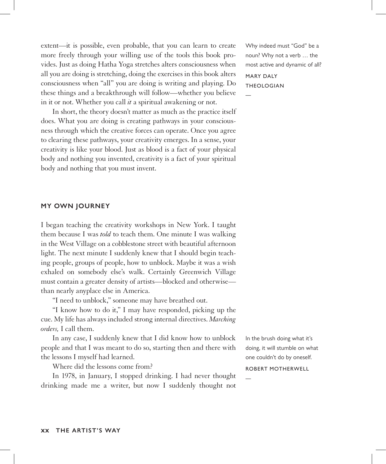extent—it is possible, even probable, that you can learn to create more freely through your willing use of the tools this book provides. Just as doing Hatha Yoga stretches alters consciousness when all you are doing is stretching, doing the exercises in this book alters consciousness when "all" you are doing is writing and playing. Do these things and a breakthrough will follow—whether you believe in it or not. Whether you call *it* a spiritual awakening or not.

In short, the theory doesn't matter as much as the practice itself does. What you are doing is creating pathways in your consciousness through which the creative forces can operate. Once you agree to clearing these pathways, your creativity emerges. In a sense, your creativity is like your blood. Just as blood is a fact of your physical body and nothing you invented, creativity is a fact of your spiritual body and nothing that you must invent.

#### **MY OWN JOURNEY**

I began teaching the creativity workshops in New York. I taught them because I was *told* to teach them. One minute I was walking in the West Village on a cobblestone street with beautiful afternoon light. The next minute I suddenly knew that I should begin teaching people, groups of people, how to unblock. Maybe it was a wish exhaled on somebody else's walk. Certainly Greenwich Village must contain a greater density of artists—blocked and otherwise than nearly anyplace else in America.

"I need to unblock," someone may have breathed out.

"I know how to do it," I may have responded, picking up the cue. My life has always included strong internal directives. *Marching orders,* I call them.

In any case, I suddenly knew that I did know how to unblock people and that I was meant to do so, starting then and there with the lessons I myself had learned.

Where did the lessons come from?

In 1978, in January, I stopped drinking. I had never thought drinking made me a writer, but now I suddenly thought not

Why indeed must "God" be a noun? Why not a verb … the most active and dynamic of all?

MARY DALY THEOLOGIAN

—

In the brush doing what it's doing, it will stumble on what one couldn't do by oneself.

ROBERT MOTHERWELL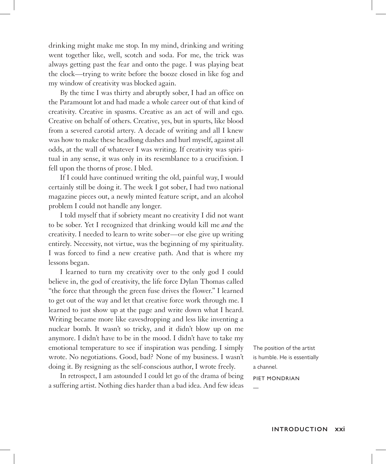drinking might make me stop. In my mind, drinking and writing went together like, well, scotch and soda. For me, the trick was always getting past the fear and onto the page. I was playing beat the clock—trying to write before the booze closed in like fog and my window of creativity was blocked again.

By the time I was thirty and abruptly sober, I had an office on the Paramount lot and had made a whole career out of that kind of creativity. Creative in spasms. Creative as an act of will and ego. Creative on behalf of others. Creative, yes, but in spurts, like blood from a severed carotid artery. A decade of writing and all I knew was how to make these headlong dashes and hurl myself, against all odds, at the wall of whatever I was writing. If creativity was spiritual in any sense, it was only in its resemblance to a crucifixion. I fell upon the thorns of prose. I bled.

If I could have continued writing the old, painful way, I would certainly still be doing it. The week I got sober, I had two national magazine pieces out, a newly minted feature script, and an alcohol problem I could not handle any longer.

I told myself that if sobriety meant no creativity I did not want to be sober. Yet I recognized that drinking would kill me *and* the creativity. I needed to learn to write sober—or else give up writing entirely. Necessity, not virtue, was the beginning of my spirituality. I was forced to find a new creative path. And that is where my lessons began.

I learned to turn my creativity over to the only god I could believe in, the god of creativity, the life force Dylan Thomas called "the force that through the green fuse drives the flower." I learned to get out of the way and let that creative force work through me. I learned to just show up at the page and write down what I heard. Writing became more like eavesdropping and less like inventing a nuclear bomb. It wasn't so tricky, and it didn't blow up on me anymore. I didn't have to be in the mood. I didn't have to take my emotional temperature to see if inspiration was pending. I simply wrote. No negotiations. Good, bad? None of my business. I wasn't doing it. By resigning as the self-conscious author, I wrote freely.

In retrospect, I am astounded I could let go of the drama of being a suffering artist. Nothing dies harder than a bad idea. And few ideas

The position of the artist is humble. He is essentially a channel.

PIET MONDRIAN

—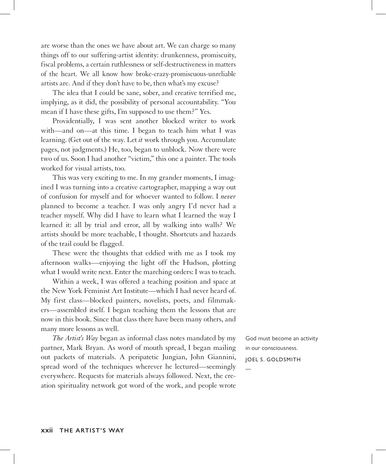are worse than the ones we have about art. We can charge so many things off to our suffering-artist identity: drunkenness, promiscuity, fiscal problems, a certain ruthlessness or self-destructiveness in matters of the heart. We all know how broke-crazy-promiscuous-unreliable artists are. And if they don't have to be, then what's my excuse?

The idea that I could be sane, sober, and creative terrified me, implying, as it did, the possibility of personal accountability. "You mean if I have these gifts, I'm supposed to use them?" Yes.

Providentially, I was sent another blocked writer to work with—and on—at this time. I began to teach him what I was learning. (Get out of the way. Let *it* work through you. Accumulate pages, not judgments.) He, too, began to unblock. Now there were two of us. Soon I had another "victim," this one a painter. The tools worked for visual artists, too.

This was very exciting to me. In my grander moments, I imagined I was turning into a creative cartographer, mapping a way out of confusion for myself and for whoever wanted to follow. I *never*  planned to become a teacher. I was only angry I'd never had a teacher myself. Why did I have to learn what I learned the way I learned it: all by trial and error, all by walking into walls? We artists should be more teachable, I thought. Shortcuts and hazards of the trail could be flagged.

These were the thoughts that eddied with me as I took my afternoon walks—enjoying the light off the Hudson, plotting what I would write next. Enter the marching orders: I was to teach.

Within a week, I was offered a teaching position and space at the New York Feminist Art Institute—which I had never heard of. My first class—blocked painters, novelists, poets, and filmmakers—assembled itself. I began teaching them the lessons that are now in this book. Since that class there have been many others, and many more lessons as well.

*The Artist's Way* began as informal class notes mandated by my partner, Mark Bryan. As word of mouth spread, I began mailing out packets of materials. A peripatetic Jungian, John Giannini, spread word of the techniques wherever he lectured—seemingly everywhere. Requests for materials always followed. Next, the creation spirituality network got word of the work, and people wrote

God must become an activity in our consciousness.

JOEL S. GOLDSMITH

—